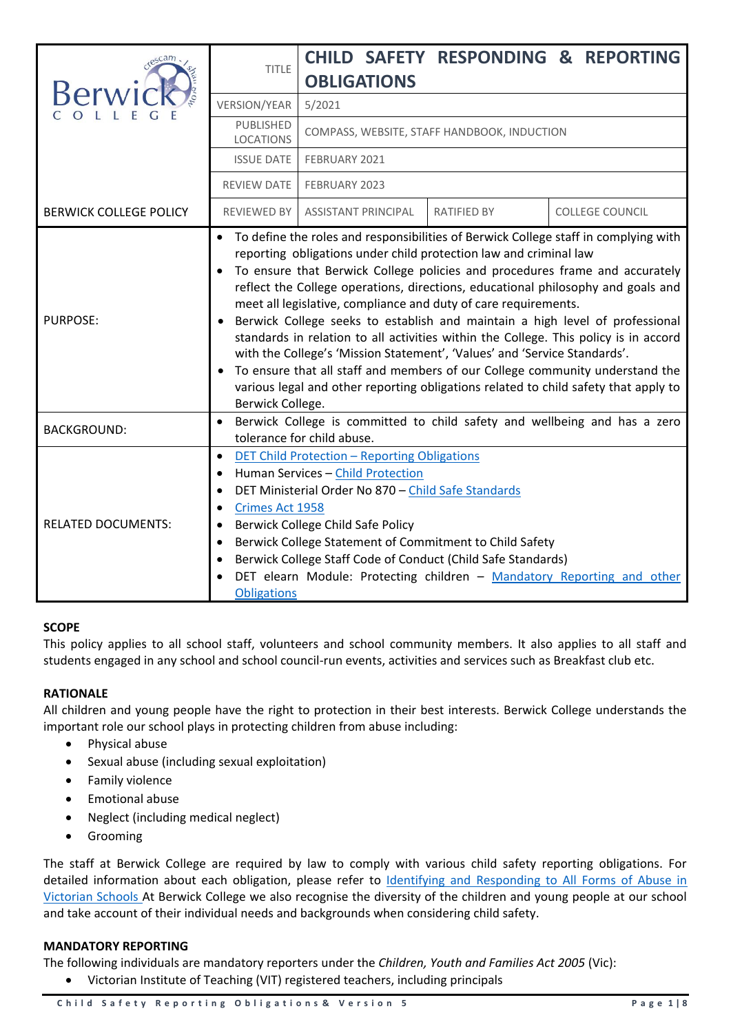|                               | <b>TITLE</b>                                                    | <b>CHILD SAFETY RESPONDING &amp; REPORTING</b>                                                                                                                                                                                                                                                                                                                                                                                                                                                                                                                                                                                                                                                                                                                                                                               |
|-------------------------------|-----------------------------------------------------------------|------------------------------------------------------------------------------------------------------------------------------------------------------------------------------------------------------------------------------------------------------------------------------------------------------------------------------------------------------------------------------------------------------------------------------------------------------------------------------------------------------------------------------------------------------------------------------------------------------------------------------------------------------------------------------------------------------------------------------------------------------------------------------------------------------------------------------|
|                               |                                                                 | <b>OBLIGATIONS</b>                                                                                                                                                                                                                                                                                                                                                                                                                                                                                                                                                                                                                                                                                                                                                                                                           |
|                               | <b>VERSION/YEAR</b>                                             | 5/2021                                                                                                                                                                                                                                                                                                                                                                                                                                                                                                                                                                                                                                                                                                                                                                                                                       |
|                               | PUBLISHED<br><b>LOCATIONS</b>                                   | COMPASS, WEBSITE, STAFF HANDBOOK, INDUCTION                                                                                                                                                                                                                                                                                                                                                                                                                                                                                                                                                                                                                                                                                                                                                                                  |
|                               | <b>ISSUE DATE</b>                                               | FEBRUARY 2021                                                                                                                                                                                                                                                                                                                                                                                                                                                                                                                                                                                                                                                                                                                                                                                                                |
|                               | REVIEW DATE                                                     | FEBRUARY 2023                                                                                                                                                                                                                                                                                                                                                                                                                                                                                                                                                                                                                                                                                                                                                                                                                |
| <b>BERWICK COLLEGE POLICY</b> | REVIEWED BY                                                     | <b>ASSISTANT PRINCIPAL</b><br><b>RATIFIED BY</b><br><b>COLLEGE COUNCIL</b>                                                                                                                                                                                                                                                                                                                                                                                                                                                                                                                                                                                                                                                                                                                                                   |
| <b>PURPOSE:</b>               | $\bullet$<br>$\bullet$<br>Berwick College.                      | • To define the roles and responsibilities of Berwick College staff in complying with<br>reporting obligations under child protection law and criminal law<br>To ensure that Berwick College policies and procedures frame and accurately<br>reflect the College operations, directions, educational philosophy and goals and<br>meet all legislative, compliance and duty of care requirements.<br>Berwick College seeks to establish and maintain a high level of professional<br>standards in relation to all activities within the College. This policy is in accord<br>with the College's 'Mission Statement', 'Values' and 'Service Standards'.<br>To ensure that all staff and members of our College community understand the<br>various legal and other reporting obligations related to child safety that apply to |
| <b>BACKGROUND:</b>            | $\bullet$                                                       | Berwick College is committed to child safety and wellbeing and has a zero<br>tolerance for child abuse.                                                                                                                                                                                                                                                                                                                                                                                                                                                                                                                                                                                                                                                                                                                      |
| <b>RELATED DOCUMENTS:</b>     | $\bullet$<br>$\bullet$<br>Crimes Act 1958<br><b>Obligations</b> | <b>DET Child Protection - Reporting Obligations</b><br>Human Services - Child Protection<br>DET Ministerial Order No 870 - Child Safe Standards<br>Berwick College Child Safe Policy<br>Berwick College Statement of Commitment to Child Safety<br>Berwick College Staff Code of Conduct (Child Safe Standards)<br>DET elearn Module: Protecting children - Mandatory Reporting and other                                                                                                                                                                                                                                                                                                                                                                                                                                    |

# **SCOPE**

This policy applies to all school staff, volunteers and school community members. It also applies to all staff and students engaged in any school and school council-run events, activities and services such as Breakfast club etc.

# **RATIONALE**

All children and young people have the right to protection in their best interests. Berwick College understands the important role our school plays in protecting children from abuse including:

- Physical abuse
- Sexual abuse (including sexual exploitation)
- **•** Family violence
- Emotional abuse
- Neglect (including medical neglect)
- Grooming

The staff at Berwick College are required by law to comply with various child safety reporting obligations. For detailed information about each obligation, please refer to Identifying and Responding to All Forms of Abuse in [Victorian Schools](https://www.education.vic.gov.au/Documents/about/programs/health/protect/ChildSafeStandard5_SchoolsGuide.pdf) At Berwick College we also recognise the diversity of the children and young people at our school and take account of their individual needs and backgrounds when considering child safety.

## **MANDATORY REPORTING**

The following individuals are mandatory reporters under the *Children, Youth and Families Act 2005* (Vic):

Victorian Institute of Teaching (VIT) registered teachers, including principals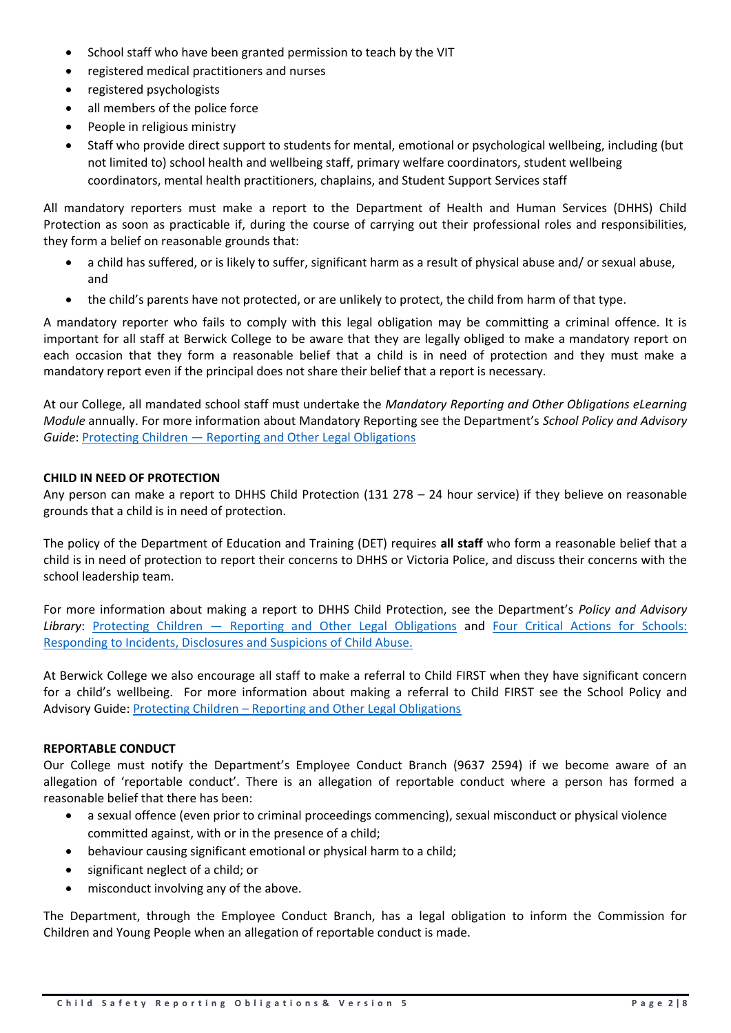- School staff who have been granted permission to teach by the VIT
- registered medical practitioners and nurses
- registered psychologists
- all members of the police force
- People in religious ministry
- Staff who provide direct support to students for mental, emotional or psychological wellbeing, including (but not limited to) school health and wellbeing staff, primary welfare coordinators, student wellbeing coordinators, mental health practitioners, chaplains, and Student Support Services staff

All mandatory reporters must make a report to the Department of Health and Human Services (DHHS) Child Protection as soon as practicable if, during the course of carrying out their professional roles and responsibilities, they form a belief on reasonable grounds that:

- a child has suffered, or is likely to suffer, significant harm as a result of physical abuse and/ or sexual abuse, and
- the child's parents have not protected, or are unlikely to protect, the child from harm of that type.

A mandatory reporter who fails to comply with this legal obligation may be committing a criminal offence. It is important for all staff at Berwick College to be aware that they are legally obliged to make a mandatory report on each occasion that they form a reasonable belief that a child is in need of protection and they must make a mandatory report even if the principal does not share their belief that a report is necessary.

At our College, all mandated school staff must undertake the *Mandatory Reporting and Other Obligations eLearning Module* annually. For more information about Mandatory Reporting see the Department's *School Policy and Advisory Guide*: Protecting Children — [Reporting and Other Legal Obligations](https://www2.education.vic.gov.au/pal/protecting-children/policy)

# **CHILD IN NEED OF PROTECTION**

Any person can make a report to DHHS Child Protection (131 278 – 24 hour service) if they believe on reasonable grounds that a child is in need of protection.

The policy of the Department of Education and Training (DET) requires **all staff** who form a reasonable belief that a child is in need of protection to report their concerns to DHHS or Victoria Police, and discuss their concerns with the school leadership team.

For more information about making a report to DHHS Child Protection, see the Department's *Policy and Advisory Library*: Protecting Children — [Reporting and Other Legal Obligations](https://www2.education.vic.gov.au/pal/protecting-children/policy) and [Four Critical Actions for Schools:](https://www.education.vic.gov.au/Documents/about/programs/health/protect/FourCriticalActions_ChildAbuse.pdf)  [Responding to Incidents, Disclosures and Suspicions of Child Abuse.](https://www.education.vic.gov.au/Documents/about/programs/health/protect/FourCriticalActions_ChildAbuse.pdf)

At Berwick College we also encourage all staff to make a referral to Child FIRST when they have significant concern for a child's wellbeing. For more information about making a referral to Child FIRST see the School Policy and Advisory Guide: Protecting Children – [Reporting and Other Legal Obligations](https://www2.education.vic.gov.au/pal/protecting-children/policy)

### **REPORTABLE CONDUCT**

Our College must notify the Department's Employee Conduct Branch (9637 2594) if we become aware of an allegation of 'reportable conduct'. There is an allegation of reportable conduct where a person has formed a reasonable belief that there has been:

- a sexual offence (even prior to criminal proceedings commencing), sexual misconduct or physical violence committed against, with or in the presence of a child;
- behaviour causing significant emotional or physical harm to a child;
- significant neglect of a child; or
- misconduct involving any of the above.

The Department, through the Employee Conduct Branch, has a legal obligation to inform the Commission for Children and Young People when an allegation of reportable conduct is made.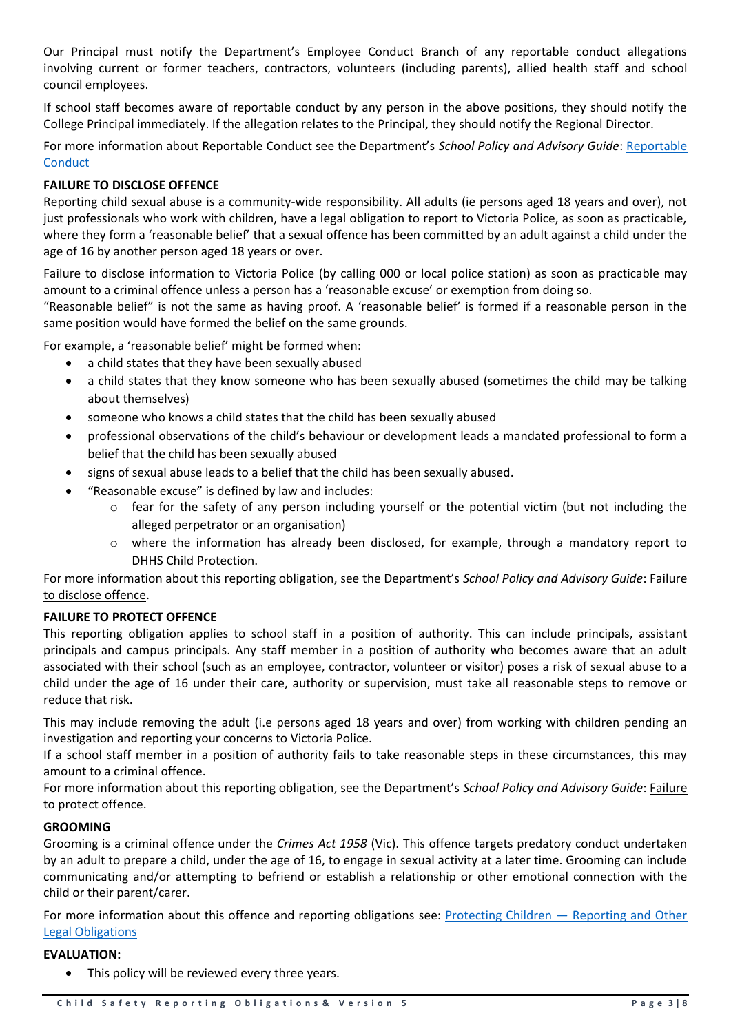Our Principal must notify the Department's Employee Conduct Branch of any reportable conduct allegations involving current or former teachers, contractors, volunteers (including parents), allied health staff and school council employees.

If school staff becomes aware of reportable conduct by any person in the above positions, they should notify the College Principal immediately. If the allegation relates to the Principal, they should notify the Regional Director.

For more information about [Reportable](https://www2.education.vic.gov.au/pal/reportable-conduct-scheme/policy) Conduct see the Department's School Policy and Advisory Guide: Reportable **[Conduct](https://www2.education.vic.gov.au/pal/reportable-conduct-scheme/policy)** 

## **FAILURE TO DISCLOSE OFFENCE**

Reporting child sexual abuse is a community-wide responsibility. All adults (ie persons aged 18 years and over), not just professionals who work with children, have a legal obligation to report to Victoria Police, as soon as practicable, where they form a 'reasonable belief' that a sexual offence has been committed by an adult against a child under the age of 16 by another person aged 18 years or over.

Failure to disclose information to Victoria Police (by calling 000 or local police station) as soon as practicable may amount to a criminal offence unless a person has a 'reasonable excuse' or exemption from doing so.

"Reasonable belief" is not the same as having proof. A 'reasonable belief' is formed if a reasonable person in the same position would have formed the belief on the same grounds.

For example, a 'reasonable belief' might be formed when:

- a child states that they have been sexually abused
- a child states that they know someone who has been sexually abused (sometimes the child may be talking about themselves)
- someone who knows a child states that the child has been sexually abused
- professional observations of the child's behaviour or development leads a mandated professional to form a belief that the child has been sexually abused
- signs of sexual abuse leads to a belief that the child has been sexually abused.
- "Reasonable excuse" is defined by law and includes:
	- $\circ$  fear for the safety of any person including yourself or the potential victim (but not including the alleged perpetrator or an organisation)
	- o where the information has already been disclosed, for example, through a mandatory report to DHHS Child Protection.

For more information about this reporting obligation, see the Department's *School Policy and Advisory Guide*: [Failure](http://www.education.vic.gov.au/school/principals/spag/safety/Pages/childprotectobligation.aspx)  [to disclose offence.](http://www.education.vic.gov.au/school/principals/spag/safety/Pages/childprotectobligation.aspx)

### **FAILURE TO PROTECT OFFENCE**

This reporting obligation applies to school staff in a position of authority. This can include principals, assistant principals and campus principals. Any staff member in a position of authority who becomes aware that an adult associated with their school (such as an employee, contractor, volunteer or visitor) poses a risk of sexual abuse to a child under the age of 16 under their care, authority or supervision, must take all reasonable steps to remove or reduce that risk.

This may include removing the adult (i.e persons aged 18 years and over) from working with children pending an investigation and reporting your concerns to Victoria Police.

If a school staff member in a position of authority fails to take reasonable steps in these circumstances, this may amount to a criminal offence.

For more information about this reporting obligation, see the Department's *School Policy and Advisory Guide*: [Failure](http://www.education.vic.gov.au/school/principals/spag/safety/Pages/childprotectobligation.aspx)  [to protect offence.](http://www.education.vic.gov.au/school/principals/spag/safety/Pages/childprotectobligation.aspx)

## **GROOMING**

Grooming is a criminal offence under the *Crimes Act 1958* (Vic). This offence targets predatory conduct undertaken by an adult to prepare a child, under the age of 16, to engage in sexual activity at a later time. Grooming can include communicating and/or attempting to befriend or establish a relationship or other emotional connection with the child or their parent/carer.

For more information about this offence and reporting obligations see: Protecting Children — [Reporting and Other](https://www2.education.vic.gov.au/pal/protecting-children/policy)  [Legal Obligations](https://www2.education.vic.gov.au/pal/protecting-children/policy)

### **EVALUATION:**

• This policy will be reviewed every three years.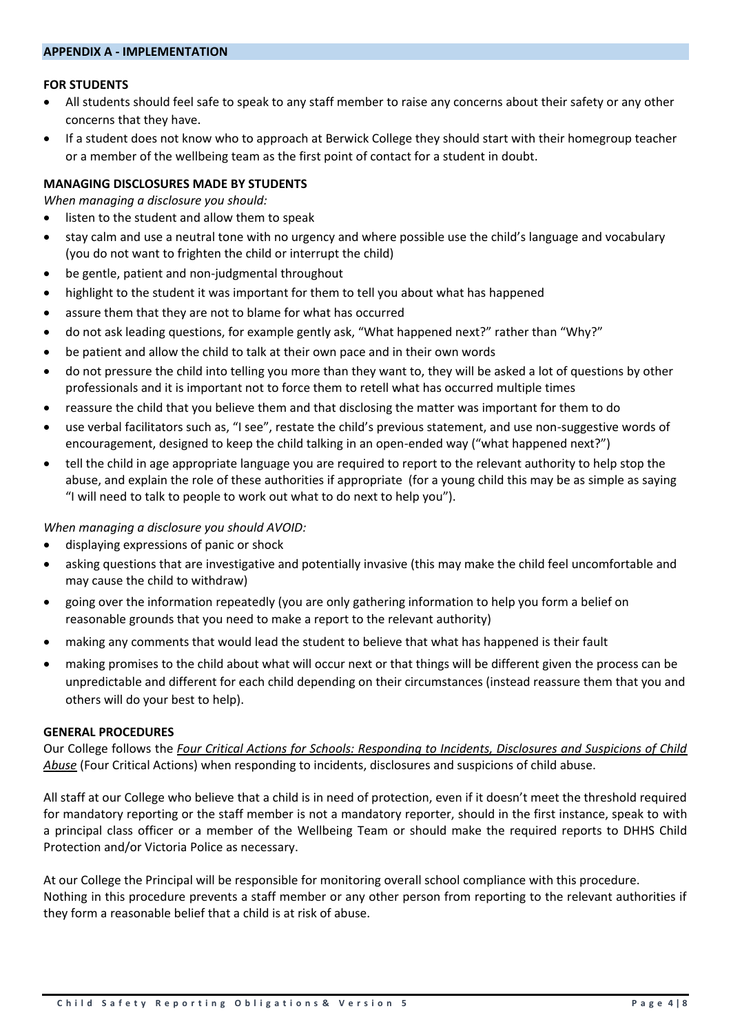#### **APPENDIX A - IMPLEMENTATION**

### **FOR STUDENTS**

- All students should feel safe to speak to any staff member to raise any concerns about their safety or any other concerns that they have.
- If a student does not know who to approach at Berwick College they should start with their homegroup teacher or a member of the wellbeing team as the first point of contact for a student in doubt.

### **MANAGING DISCLOSURES MADE BY STUDENTS**

*When managing a disclosure you should:*

- listen to the student and allow them to speak
- stay calm and use a neutral tone with no urgency and where possible use the child's language and vocabulary (you do not want to frighten the child or interrupt the child)
- be gentle, patient and non-judgmental throughout
- highlight to the student it was important for them to tell you about what has happened
- assure them that they are not to blame for what has occurred
- do not ask leading questions, for example gently ask, "What happened next?" rather than "Why?"
- be patient and allow the child to talk at their own pace and in their own words
- do not pressure the child into telling you more than they want to, they will be asked a lot of questions by other professionals and it is important not to force them to retell what has occurred multiple times
- reassure the child that you believe them and that disclosing the matter was important for them to do
- use verbal facilitators such as, "I see", restate the child's previous statement, and use non-suggestive words of encouragement, designed to keep the child talking in an open-ended way ("what happened next?")
- tell the child in age appropriate language you are required to report to the relevant authority to help stop the abuse, and explain the role of these authorities if appropriate (for a young child this may be as simple as saying "I will need to talk to people to work out what to do next to help you").

*When managing a disclosure you should AVOID:*

- displaying expressions of panic or shock
- asking questions that are investigative and potentially invasive (this may make the child feel uncomfortable and may cause the child to withdraw)
- going over the information repeatedly (you are only gathering information to help you form a belief on reasonable grounds that you need to make a report to the relevant authority)
- making any comments that would lead the student to believe that what has happened is their fault
- making promises to the child about what will occur next or that things will be different given the process can be unpredictable and different for each child depending on their circumstances (instead reassure them that you and others will do your best to help).

#### **GENERAL PROCEDURES**

Our College follows the *[Four Critical Actions for Schools: Responding to Incidents, Disclosures and Suspicions of Child](https://www.education.vic.gov.au/Documents/about/programs/health/protect/FourCriticalActions_ChildAbuse.pdf)  [Abuse](https://www.education.vic.gov.au/Documents/about/programs/health/protect/FourCriticalActions_ChildAbuse.pdf)* (Four Critical Actions) when responding to incidents, disclosures and suspicions of child abuse.

All staff at our College who believe that a child is in need of protection, even if it doesn't meet the threshold required for mandatory reporting or the staff member is not a mandatory reporter, should in the first instance, speak to with a principal class officer or a member of the Wellbeing Team or should make the required reports to DHHS Child Protection and/or Victoria Police as necessary.

At our College the Principal will be responsible for monitoring overall school compliance with this procedure. Nothing in this procedure prevents a staff member or any other person from reporting to the relevant authorities if they form a reasonable belief that a child is at risk of abuse.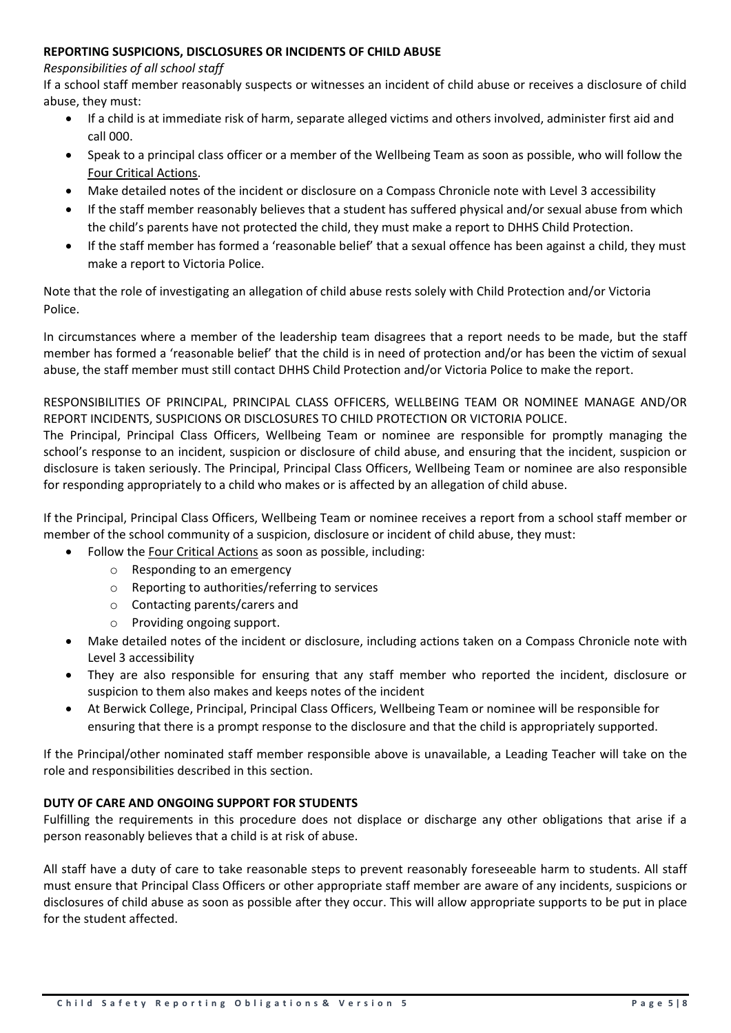## **REPORTING SUSPICIONS, DISCLOSURES OR INCIDENTS OF CHILD ABUSE**

### *Responsibilities of all school staff*

If a school staff member reasonably suspects or witnesses an incident of child abuse or receives a disclosure of child abuse, they must:

- If a child is at immediate risk of harm, separate alleged victims and others involved, administer first aid and call 000.
- Speak to a principal class officer or a member of the Wellbeing Team as soon as possible, who will follow the [Four Critical Actions.](https://www.education.vic.gov.au/Documents/about/programs/health/protect/FourCriticalActions_ChildAbuse.pdf)
- Make detailed notes of the incident or disclosure on a Compass Chronicle note with Level 3 accessibility
- If the staff member reasonably believes that a student has suffered physical and/or sexual abuse from which the child's parents have not protected the child, they must make a report to DHHS Child Protection.
- If the staff member has formed a 'reasonable belief' that a sexual offence has been against a child, they must make a report to Victoria Police.

Note that the role of investigating an allegation of child abuse rests solely with Child Protection and/or Victoria Police.

In circumstances where a member of the leadership team disagrees that a report needs to be made, but the staff member has formed a 'reasonable belief' that the child is in need of protection and/or has been the victim of sexual abuse, the staff member must still contact DHHS Child Protection and/or Victoria Police to make the report.

RESPONSIBILITIES OF PRINCIPAL, PRINCIPAL CLASS OFFICERS, WELLBEING TEAM OR NOMINEE MANAGE AND/OR REPORT INCIDENTS, SUSPICIONS OR DISCLOSURES TO CHILD PROTECTION OR VICTORIA POLICE.

The Principal, Principal Class Officers, Wellbeing Team or nominee are responsible for promptly managing the school's response to an incident, suspicion or disclosure of child abuse, and ensuring that the incident, suspicion or disclosure is taken seriously. The Principal, Principal Class Officers, Wellbeing Team or nominee are also responsible for responding appropriately to a child who makes or is affected by an allegation of child abuse.

If the Principal, Principal Class Officers, Wellbeing Team or nominee receives a report from a school staff member or member of the school community of a suspicion, disclosure or incident of child abuse, they must:

- Follow the [Four Critical Actions](https://www.education.vic.gov.au/Documents/about/programs/health/protect/FourCriticalActions_ChildAbuse.pdf) as soon as possible, including:
	- o Responding to an emergency
	- o Reporting to authorities/referring to services
	- o Contacting parents/carers and
	- o Providing ongoing support.
- Make detailed notes of the incident or disclosure, including actions taken on a Compass Chronicle note with Level 3 accessibility
- They are also responsible for ensuring that any staff member who reported the incident, disclosure or suspicion to them also makes and keeps notes of the incident
- At Berwick College, Principal, Principal Class Officers, Wellbeing Team or nominee will be responsible for ensuring that there is a prompt response to the disclosure and that the child is appropriately supported.

If the Principal/other nominated staff member responsible above is unavailable, a Leading Teacher will take on the role and responsibilities described in this section.

# **DUTY OF CARE AND ONGOING SUPPORT FOR STUDENTS**

Fulfilling the requirements in this procedure does not displace or discharge any other obligations that arise if a person reasonably believes that a child is at risk of abuse.

All staff have a duty of care to take reasonable steps to prevent reasonably foreseeable harm to students. All staff must ensure that Principal Class Officers or other appropriate staff member are aware of any incidents, suspicions or disclosures of child abuse as soon as possible after they occur. This will allow appropriate supports to be put in place for the student affected.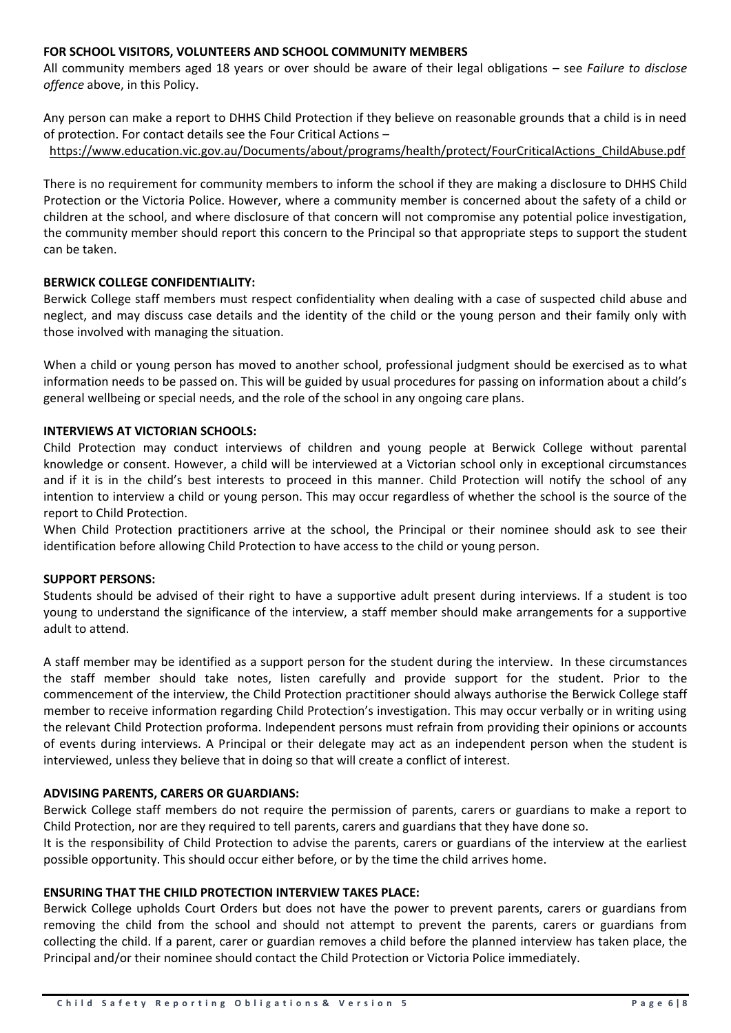### **FOR SCHOOL VISITORS, VOLUNTEERS AND SCHOOL COMMUNITY MEMBERS**

All community members aged 18 years or over should be aware of their legal obligations – see *Failure to disclose offence* above, in this Policy.

Any person can make a report to DHHS Child Protection if they believe on reasonable grounds that a child is in need of protection. For contact details see the Four Critical Actions –

[https://www.education.vic.gov.au/Documents/about/programs/health/protect/FourCriticalActions\\_ChildAbuse.pdf](https://www.education.vic.gov.au/Documents/about/programs/health/protect/FourCriticalActions_ChildAbuse.pdf)

There is no requirement for community members to inform the school if they are making a disclosure to DHHS Child Protection or the Victoria Police. However, where a community member is concerned about the safety of a child or children at the school, and where disclosure of that concern will not compromise any potential police investigation, the community member should report this concern to the Principal so that appropriate steps to support the student can be taken.

### **BERWICK COLLEGE CONFIDENTIALITY:**

Berwick College staff members must respect confidentiality when dealing with a case of suspected child abuse and neglect, and may discuss case details and the identity of the child or the young person and their family only with those involved with managing the situation.

When a child or young person has moved to another school, professional judgment should be exercised as to what information needs to be passed on. This will be guided by usual procedures for passing on information about a child's general wellbeing or special needs, and the role of the school in any ongoing care plans.

## **INTERVIEWS AT VICTORIAN SCHOOLS:**

Child Protection may conduct interviews of children and young people at Berwick College without parental knowledge or consent. However, a child will be interviewed at a Victorian school only in exceptional circumstances and if it is in the child's best interests to proceed in this manner. Child Protection will notify the school of any intention to interview a child or young person. This may occur regardless of whether the school is the source of the report to Child Protection.

When Child Protection practitioners arrive at the school, the Principal or their nominee should ask to see their identification before allowing Child Protection to have access to the child or young person.

### **SUPPORT PERSONS:**

Students should be advised of their right to have a supportive adult present during interviews. If a student is too young to understand the significance of the interview, a staff member should make arrangements for a supportive adult to attend.

A staff member may be identified as a support person for the student during the interview. In these circumstances the staff member should take notes, listen carefully and provide support for the student. Prior to the commencement of the interview, the Child Protection practitioner should always authorise the Berwick College staff member to receive information regarding Child Protection's investigation. This may occur verbally or in writing using the relevant Child Protection proforma. Independent persons must refrain from providing their opinions or accounts of events during interviews. A Principal or their delegate may act as an independent person when the student is interviewed, unless they believe that in doing so that will create a conflict of interest.

### **ADVISING PARENTS, CARERS OR GUARDIANS:**

Berwick College staff members do not require the permission of parents, carers or guardians to make a report to Child Protection, nor are they required to tell parents, carers and guardians that they have done so.

It is the responsibility of Child Protection to advise the parents, carers or guardians of the interview at the earliest possible opportunity. This should occur either before, or by the time the child arrives home.

# **ENSURING THAT THE CHILD PROTECTION INTERVIEW TAKES PLACE:**

Berwick College upholds Court Orders but does not have the power to prevent parents, carers or guardians from removing the child from the school and should not attempt to prevent the parents, carers or guardians from collecting the child. If a parent, carer or guardian removes a child before the planned interview has taken place, the Principal and/or their nominee should contact the Child Protection or Victoria Police immediately.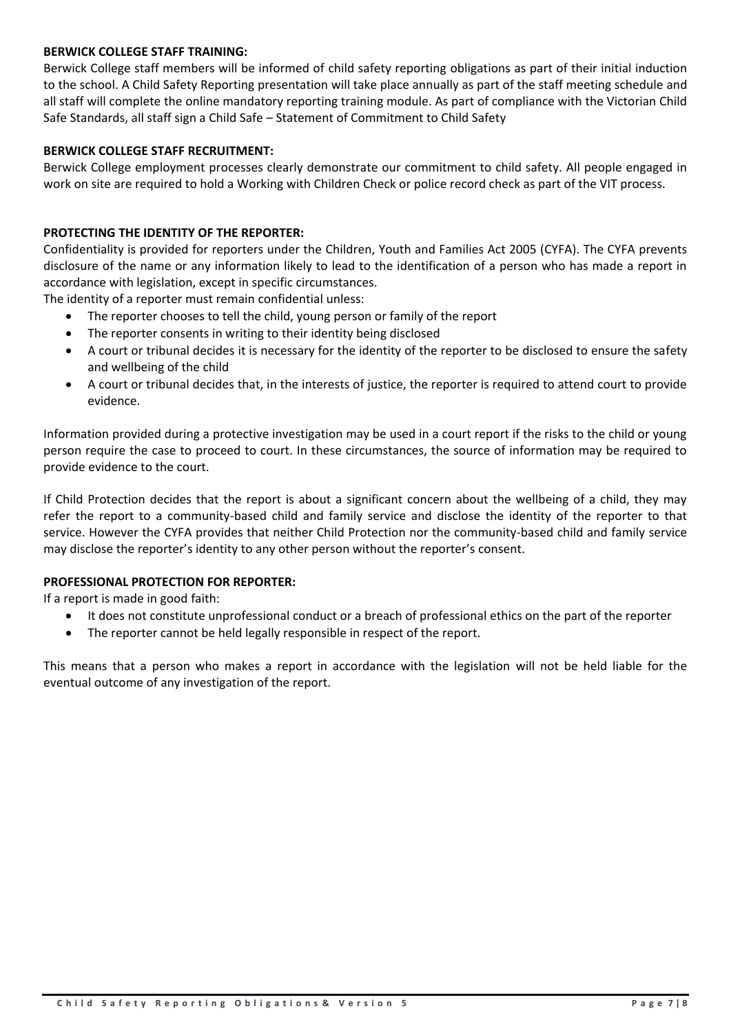## **BERWICK COLLEGE STAFF TRAINING:**

Berwick College staff members will be informed of child safety reporting obligations as part of their initial induction to the school. A Child Safety Reporting presentation will take place annually as part of the staff meeting schedule and all staff will complete the online mandatory reporting training module. As part of compliance with the Victorian Child Safe Standards, all staff sign a Child Safe – Statement of Commitment to Child Safety

## **BERWICK COLLEGE STAFF RECRUITMENT:**

Berwick College employment processes clearly demonstrate our commitment to child safety. All people engaged in work on site are required to hold a Working with Children Check or police record check as part of the VIT process.

## **PROTECTING THE IDENTITY OF THE REPORTER:**

Confidentiality is provided for reporters under the Children, Youth and Families Act 2005 (CYFA). The CYFA prevents disclosure of the name or any information likely to lead to the identification of a person who has made a report in accordance with legislation, except in specific circumstances.

The identity of a reporter must remain confidential unless:

- The reporter chooses to tell the child, young person or family of the report
- The reporter consents in writing to their identity being disclosed
- A court or tribunal decides it is necessary for the identity of the reporter to be disclosed to ensure the safety and wellbeing of the child
- A court or tribunal decides that, in the interests of justice, the reporter is required to attend court to provide evidence.

Information provided during a protective investigation may be used in a court report if the risks to the child or young person require the case to proceed to court. In these circumstances, the source of information may be required to provide evidence to the court.

If Child Protection decides that the report is about a significant concern about the wellbeing of a child, they may refer the report to a community-based child and family service and disclose the identity of the reporter to that service. However the CYFA provides that neither Child Protection nor the community-based child and family service may disclose the reporter's identity to any other person without the reporter's consent.

### **PROFESSIONAL PROTECTION FOR REPORTER:**

If a report is made in good faith:

- It does not constitute unprofessional conduct or a breach of professional ethics on the part of the reporter
- The reporter cannot be held legally responsible in respect of the report.

This means that a person who makes a report in accordance with the legislation will not be held liable for the eventual outcome of any investigation of the report.